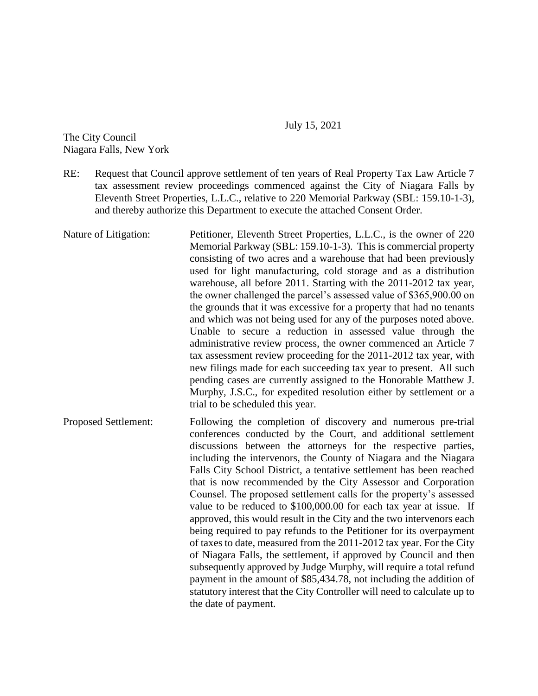## July 15, 2021

The City Council Niagara Falls, New York

- RE: Request that Council approve settlement of ten years of Real Property Tax Law Article 7 tax assessment review proceedings commenced against the City of Niagara Falls by Eleventh Street Properties, L.L.C., relative to 220 Memorial Parkway (SBL: 159.10-1-3), and thereby authorize this Department to execute the attached Consent Order.
- Nature of Litigation: Petitioner, Eleventh Street Properties, L.L.C., is the owner of 220 Memorial Parkway (SBL: 159.10-1-3). This is commercial property consisting of two acres and a warehouse that had been previously used for light manufacturing, cold storage and as a distribution warehouse, all before 2011. Starting with the 2011-2012 tax year, the owner challenged the parcel's assessed value of \$365,900.00 on the grounds that it was excessive for a property that had no tenants and which was not being used for any of the purposes noted above. Unable to secure a reduction in assessed value through the administrative review process, the owner commenced an Article 7 tax assessment review proceeding for the 2011-2012 tax year, with new filings made for each succeeding tax year to present. All such pending cases are currently assigned to the Honorable Matthew J. Murphy, J.S.C., for expedited resolution either by settlement or a trial to be scheduled this year.
- Proposed Settlement: Following the completion of discovery and numerous pre-trial conferences conducted by the Court, and additional settlement discussions between the attorneys for the respective parties, including the intervenors, the County of Niagara and the Niagara Falls City School District, a tentative settlement has been reached that is now recommended by the City Assessor and Corporation Counsel. The proposed settlement calls for the property's assessed value to be reduced to \$100,000.00 for each tax year at issue. If approved, this would result in the City and the two intervenors each being required to pay refunds to the Petitioner for its overpayment of taxes to date, measured from the 2011-2012 tax year. For the City of Niagara Falls, the settlement, if approved by Council and then subsequently approved by Judge Murphy, will require a total refund payment in the amount of \$85,434.78, not including the addition of statutory interest that the City Controller will need to calculate up to the date of payment.